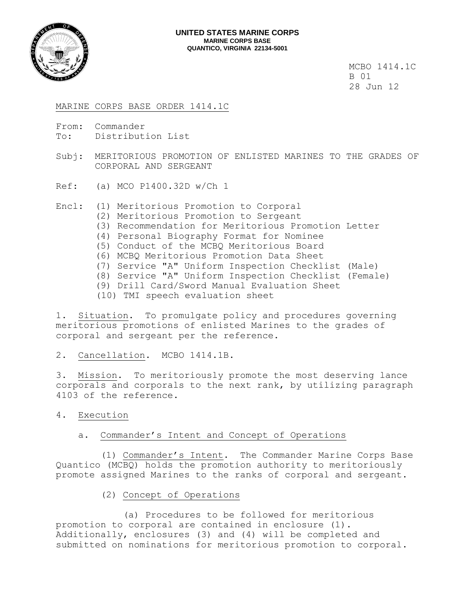

MCBO 1414.1C B 01 28 Jun 12

MARINE CORPS BASE ORDER 1414.1C

- From: Commander To: Distribution List
- Subj: MERITORIOUS PROMOTION OF ENLISTED MARINES TO THE GRADES OF CORPORAL AND SERGEANT
- Ref: (a) MCO P1400.32D w/Ch 1

Encl: (1) Meritorious Promotion to Corporal

- (2) Meritorious Promotion to Sergeant
- (3) Recommendation for Meritorious Promotion Letter
- (4) Personal Biography Format for Nominee
- (5) Conduct of the MCBQ Meritorious Board
- (6) MCBQ Meritorious Promotion Data Sheet
- (7) Service "A" Uniform Inspection Checklist (Male)
- (8) Service "A" Uniform Inspection Checklist (Female)
- (9) Drill Card/Sword Manual Evaluation Sheet
- (10) TMI speech evaluation sheet

1. Situation. To promulgate policy and procedures governing meritorious promotions of enlisted Marines to the grades of corporal and sergeant per the reference.

2. Cancellation. MCBO 1414.1B.

3. Mission. To meritoriously promote the most deserving lance corporals and corporals to the next rank, by utilizing paragraph 4103 of the reference.

- 4. Execution
	- a. Commander's Intent and Concept of Operations

 (1) Commander's Intent. The Commander Marine Corps Base Quantico (MCBQ) holds the promotion authority to meritoriously promote assigned Marines to the ranks of corporal and sergeant.

(2) Concept of Operations

 (a) Procedures to be followed for meritorious promotion to corporal are contained in enclosure (1). Additionally, enclosures (3) and (4) will be completed and submitted on nominations for meritorious promotion to corporal.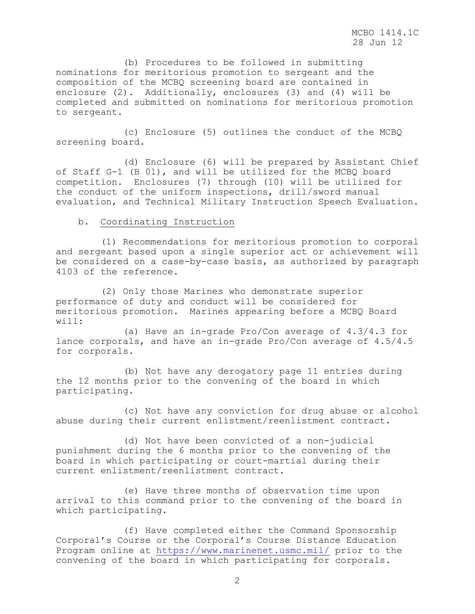(b) Procedures to be followed in submitting nominations for meritorious promotion to sergeant and the composition of the MCBQ screening board are contained in enclosure (2). Additionally, enclosures (3) and (4) will be completed and submitted on nominations for meritorious promotion to sergeant.

 (c) Enclosure (5) outlines the conduct of the MCBQ screening board.

 (d) Enclosure (6) will be prepared by Assistant Chief of Staff G-1 (B 01), and will be utilized for the MCBQ board competition. Enclosures (7) through (10) will be utilized for the conduct of the uniform inspections, drill/sword manual evaluation, and Technical Military Instruction Speech Evaluation.

### b. Coordinating Instruction

 (1) Recommendations for meritorious promotion to corporal and sergeant based upon a single superior act or achievement will be considered on a case-by-case basis, as authorized by paragraph 4103 of the reference.

 (2) Only those Marines who demonstrate superior performance of duty and conduct will be considered for meritorious promotion. Marines appearing before a MCBQ Board will:

 (a) Have an in-grade Pro/Con average of 4.3/4.3 for lance corporals, and have an in-grade Pro/Con average of 4.5/4.5 for corporals.

 (b) Not have any derogatory page 11 entries during the 12 months prior to the convening of the board in which participating.

 (c) Not have any conviction for drug abuse or alcohol abuse during their current enlistment/reenlistment contract.

 (d) Not have been convicted of a non-judicial punishment during the 6 months prior to the convening of the board in which participating or court-martial during their current enlistment/reenlistment contract.

 (e) Have three months of observation time upon arrival to this command prior to the convening of the board in which participating.

 (f) Have completed either the Command Sponsorship Corporal's Course or the Corporal's Course Distance Education Program online at<https://www.marinenet.usmc.mil/> prior to the convening of the board in which participating for corporals.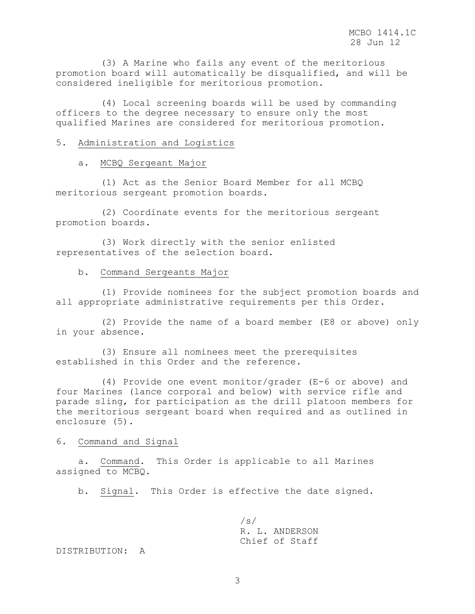(3) A Marine who fails any event of the meritorious promotion board will automatically be disqualified, and will be considered ineligible for meritorious promotion.

 (4) Local screening boards will be used by commanding officers to the degree necessary to ensure only the most qualified Marines are considered for meritorious promotion.

### 5. Administration and Logistics

### a. MCBQ Sergeant Major

 (1) Act as the Senior Board Member for all MCBQ meritorious sergeant promotion boards.

 (2) Coordinate events for the meritorious sergeant promotion boards.

 (3) Work directly with the senior enlisted representatives of the selection board.

### b. Command Sergeants Major

 (1) Provide nominees for the subject promotion boards and all appropriate administrative requirements per this Order.

 (2) Provide the name of a board member (E8 or above) only in your absence.

 (3) Ensure all nominees meet the prerequisites established in this Order and the reference.

 (4) Provide one event monitor/grader (E-6 or above) and four Marines (lance corporal and below) with service rifle and parade sling, for participation as the drill platoon members for the meritorious sergeant board when required and as outlined in enclosure (5).

### 6. Command and Signal

 a. Command. This Order is applicable to all Marines assigned to MCBQ.

b. Signal. This Order is effective the date signed.

 /s/ R. L. ANDERSON Chief of Staff

### DISTRIBUTION: A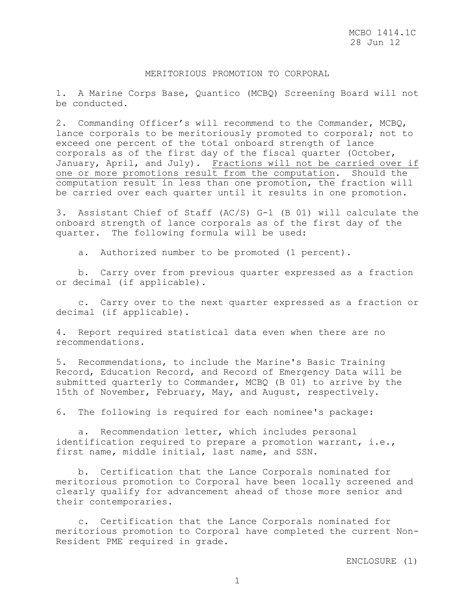### MERITORIOUS PROMOTION TO CORPORAL

1. A Marine Corps Base, Quantico (MCBQ) Screening Board will not be conducted.

2. Commanding Officer's will recommend to the Commander, MCBQ, lance corporals to be meritoriously promoted to corporal; not to exceed one percent of the total onboard strength of lance corporals as of the first day of the fiscal quarter (October, January, April, and July). Fractions will not be carried over if one or more promotions result from the computation. Should the computation result in less than one promotion, the fraction will be carried over each quarter until it results in one promotion.

3. Assistant Chief of Staff (AC/S) G-1 (B 01) will calculate the onboard strength of lance corporals as of the first day of the quarter. The following formula will be used:

a. Authorized number to be promoted (1 percent).

 b. Carry over from previous quarter expressed as a fraction or decimal (if applicable).

 c. Carry over to the next quarter expressed as a fraction or decimal (if applicable).

4. Report required statistical data even when there are no recommendations.

5. Recommendations, to include the Marine's Basic Training Record, Education Record, and Record of Emergency Data will be submitted quarterly to Commander, MCBQ (B 01) to arrive by the 15th of November, February, May, and August, respectively.

6. The following is required for each nominee's package:

 a. Recommendation letter, which includes personal identification required to prepare a promotion warrant, i.e., first name, middle initial, last name, and SSN.

 b. Certification that the Lance Corporals nominated for meritorious promotion to Corporal have been locally screened and clearly qualify for advancement ahead of those more senior and their contemporaries.

 c. Certification that the Lance Corporals nominated for meritorious promotion to Corporal have completed the current Non-Resident PME required in grade.

ENCLOSURE (1)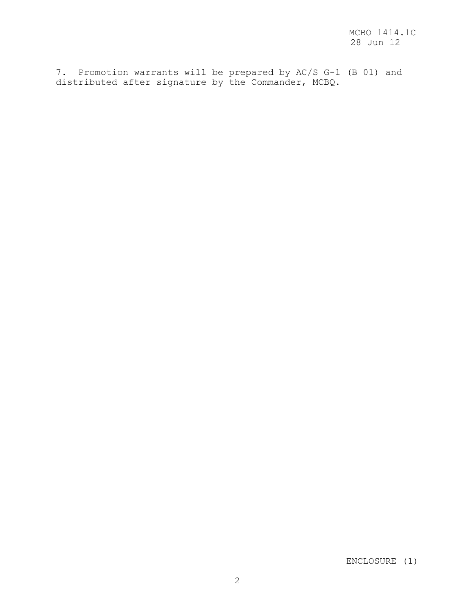7. Promotion warrants will be prepared by AC/S G-1 (B 01) and distributed after signature by the Commander, MCBQ.

ENCLOSURE (1)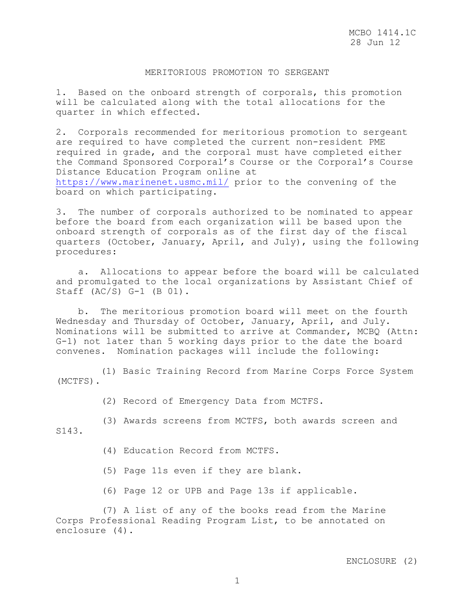# MERITORIOUS PROMOTION TO SERGEANT

1. Based on the onboard strength of corporals, this promotion will be calculated along with the total allocations for the quarter in which effected.

2. Corporals recommended for meritorious promotion to sergeant are required to have completed the current non-resident PME required in grade, and the corporal must have completed either the Command Sponsored Corporal's Course or the Corporal's Course Distance Education Program online at <https://www.marinenet.usmc.mil/> prior to the convening of the board on which participating.

3. The number of corporals authorized to be nominated to appear before the board from each organization will be based upon the onboard strength of corporals as of the first day of the fiscal quarters (October, January, April, and July), using the following procedures:

 a. Allocations to appear before the board will be calculated and promulgated to the local organizations by Assistant Chief of Staff (AC/S) G-1 (B 01).

 b. The meritorious promotion board will meet on the fourth Wednesday and Thursday of October, January, April, and July. Nominations will be submitted to arrive at Commander, MCBQ (Attn: G-1) not later than 5 working days prior to the date the board convenes. Nomination packages will include the following:

 (1) Basic Training Record from Marine Corps Force System (MCTFS).

(2) Record of Emergency Data from MCTFS.

(3) Awards screens from MCTFS, both awards screen and S143.

(4) Education Record from MCTFS.

(5) Page 11s even if they are blank.

(6) Page 12 or UPB and Page 13s if applicable.

(7) A list of any of the books read from the Marine Corps Professional Reading Program List, to be annotated on enclosure (4).

### ENCLOSURE (2)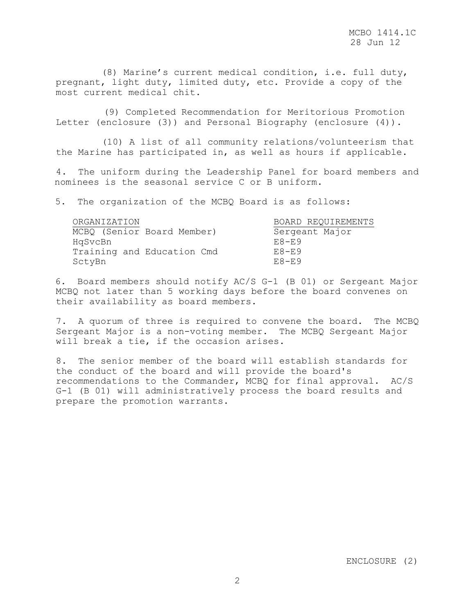(8) Marine's current medical condition, i.e. full duty, pregnant, light duty, limited duty, etc. Provide a copy of the most current medical chit.

(9) Completed Recommendation for Meritorious Promotion Letter (enclosure (3)) and Personal Biography (enclosure (4)).

 (10) A list of all community relations/volunteerism that the Marine has participated in, as well as hours if applicable.

4. The uniform during the Leadership Panel for board members and nominees is the seasonal service C or B uniform.

5. The organization of the MCBQ Board is as follows:

| ORGANIZATION               | BOARD REQUIREMENTS |
|----------------------------|--------------------|
| MCBQ (Senior Board Member) | Sergeant Major     |
| HqSvcBn                    | $E8-F9$            |
| Training and Education Cmd | $E8-F9$            |
| SctyBn                     | $F.8-F.9$          |

6. Board members should notify AC/S G-1 (B 01) or Sergeant Major MCBQ not later than 5 working days before the board convenes on their availability as board members.

7. A quorum of three is required to convene the board. The MCBQ Sergeant Major is a non-voting member. The MCBQ Sergeant Major will break a tie, if the occasion arises.

8. The senior member of the board will establish standards for the conduct of the board and will provide the board's recommendations to the Commander, MCBQ for final approval. AC/S G-1 (B 01) will administratively process the board results and prepare the promotion warrants.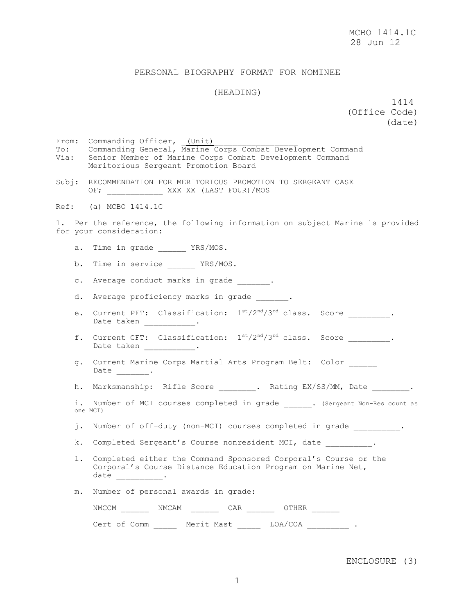### PERSONAL BIOGRAPHY FORMAT FOR NOMINEE

### (HEADING)

 1414 (Office Code) (date)

From: Commanding Officer, (Unit) To: Commanding General, Marine Corps Combat Development Command Via: Senior Member of Marine Corps Combat Development Command Meritorious Sergeant Promotion Board

Subj: RECOMMENDATION FOR MERITORIOUS PROMOTION TO SERGEANT CASE OF; \_\_\_\_\_\_\_\_\_\_\_\_\_ XXX XX (LAST FOUR)/MOS

Ref: (a) MCBO 1414.1C

1. Per the reference, the following information on subject Marine is provided for your consideration:

- a. Time in grade \_\_\_\_\_\_ YRS/MOS.
- b. Time in service \_\_\_\_\_\_ YRS/MOS.
- c. Average conduct marks in grade  $\qquad \qquad$
- d. Average proficiency marks in grade  $\qquad \qquad$
- e. Current PFT: Classification:  $1^{st}/2^{nd}/3^{rd}$  class. Score  $\qquad \qquad$ Date taken \_\_\_\_\_\_\_\_\_\_\_\_.
- f. Current CFT: Classification:  $1^{st}/2^{nd}/3^{rd}$  class. Score \_\_\_\_\_\_\_\_. Date taken \_\_\_\_\_\_\_\_\_\_\_.
- g. Current Marine Corps Martial Arts Program Belt: Color \_\_\_\_\_\_ Date \_\_\_\_\_\_\_\_.
- h. Marksmanship: Rifle Score \_\_\_\_\_\_\_\_. Rating EX/SS/MM, Date \_\_\_\_\_\_\_\_.
- i. Number of MCI courses completed in grade . (Sergeant Non-Res count as one MCI)
- j. Number of off-duty (non-MCI) courses completed in grade  $\qquad \qquad$
- k. Completed Sergeant's Course nonresident MCI, date .
- l. Completed either the Command Sponsored Corporal's Course or the Corporal's Course Distance Education Program on Marine Net,  $date \qquad \qquad \qquad \qquad .$
- m. Number of personal awards in grade:

| NMCCM |              | NMCAM                 | CAR |         |  |
|-------|--------------|-----------------------|-----|---------|--|
|       | Cert of Comm | Merit Mast<br>_______ |     | LOA/COA |  |

#### ENCLOSURE (3)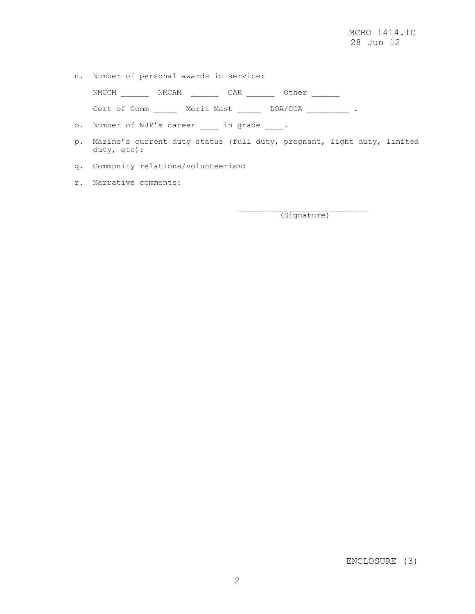n. Number of personal awards in service:

NMCCM \_\_\_\_\_\_ NMCAM \_\_\_\_\_\_ CAR \_\_\_\_\_\_ Other \_\_\_\_\_\_

Cert of Comm \_\_\_\_\_\_ Merit Mast \_\_\_\_\_\_ LOA/COA \_\_\_\_\_\_\_\_\_\_ .

- o. Number of NJP's career \_\_\_\_\_ in grade \_\_\_\_.
- p. Marine's current duty status (full duty, pregnant, light duty, limited duty, etc):
- q. Community relations/volunteerism:
- r. Narrative comments:

(Signature)

ENCLOSURE (3)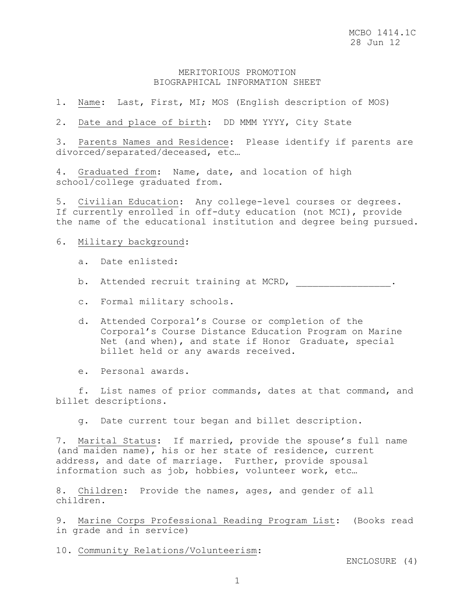# MERITORIOUS PROMOTION BIOGRAPHICAL INFORMATION SHEET

1. Name: Last, First, MI; MOS (English description of MOS)

2. Date and place of birth: DD MMM YYYY, City State

3. Parents Names and Residence: Please identify if parents are divorced/separated/deceased, etc…

4. Graduated from: Name, date, and location of high school/college graduated from.

5. Civilian Education: Any college-level courses or degrees. If currently enrolled in off-duty education (not MCI), provide the name of the educational institution and degree being pursued.

6. Military background:

a. Date enlisted:

b. Attended recruit training at MCRD, \_\_\_\_\_\_\_\_\_\_\_\_\_\_.

c. Formal military schools.

- d. Attended Corporal's Course or completion of the Corporal's Course Distance Education Program on Marine Net (and when), and state if Honor Graduate, special billet held or any awards received.
- e. Personal awards.

 f. List names of prior commands, dates at that command, and billet descriptions.

g. Date current tour began and billet description.

7. Marital Status: If married, provide the spouse's full name (and maiden name), his or her state of residence, current address, and date of marriage. Further, provide spousal information such as job, hobbies, volunteer work, etc…

8. Children: Provide the names, ages, and gender of all children.

9. Marine Corps Professional Reading Program List: (Books read in grade and in service)

10. Community Relations/Volunteerism:

ENCLOSURE (4)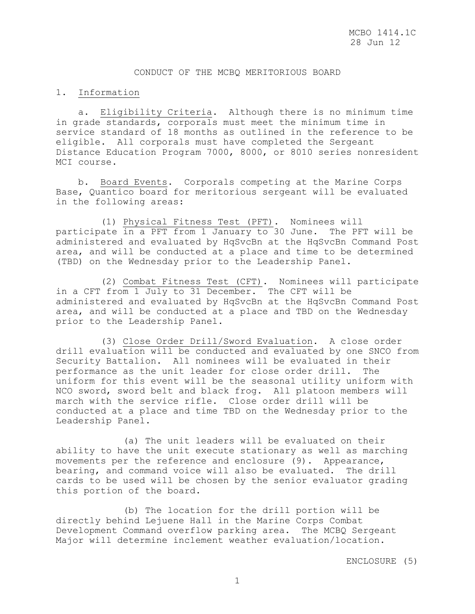# CONDUCT OF THE MCBQ MERITORIOUS BOARD

### 1. Information

 a. Eligibility Criteria. Although there is no minimum time in grade standards, corporals must meet the minimum time in service standard of 18 months as outlined in the reference to be eligible. All corporals must have completed the Sergeant Distance Education Program 7000, 8000, or 8010 series nonresident MCI course.

 b. Board Events. Corporals competing at the Marine Corps Base, Quantico board for meritorious sergeant will be evaluated in the following areas:

 (1) Physical Fitness Test (PFT). Nominees will participate in a PFT from 1 January to 30 June. The PFT will be administered and evaluated by HqSvcBn at the HqSvcBn Command Post area, and will be conducted at a place and time to be determined (TBD) on the Wednesday prior to the Leadership Panel.

 (2) Combat Fitness Test (CFT). Nominees will participate in a CFT from 1 July to 31 December. The CFT will be administered and evaluated by HqSvcBn at the HqSvcBn Command Post area, and will be conducted at a place and TBD on the Wednesday prior to the Leadership Panel.

 (3) Close Order Drill/Sword Evaluation. A close order drill evaluation will be conducted and evaluated by one SNCO from Security Battalion. All nominees will be evaluated in their performance as the unit leader for close order drill. The uniform for this event will be the seasonal utility uniform with NCO sword, sword belt and black frog. All platoon members will march with the service rifle. Close order drill will be conducted at a place and time TBD on the Wednesday prior to the Leadership Panel.

 (a) The unit leaders will be evaluated on their ability to have the unit execute stationary as well as marching movements per the reference and enclosure (9). Appearance, bearing, and command voice will also be evaluated. The drill cards to be used will be chosen by the senior evaluator grading this portion of the board.

 (b) The location for the drill portion will be directly behind Lejuene Hall in the Marine Corps Combat Development Command overflow parking area. The MCBQ Sergeant Major will determine inclement weather evaluation/location.

ENCLOSURE (5)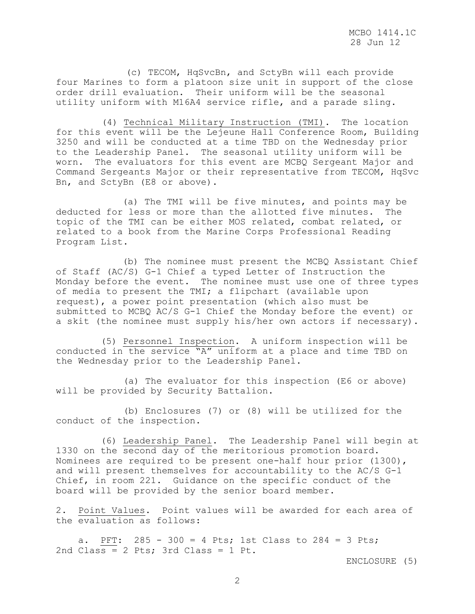(c) TECOM, HqSvcBn, and SctyBn will each provide four Marines to form a platoon size unit in support of the close order drill evaluation. Their uniform will be the seasonal utility uniform with M16A4 service rifle, and a parade sling.

(4) Technical Military Instruction (TMI). The location for this event will be the Lejeune Hall Conference Room, Building 3250 and will be conducted at a time TBD on the Wednesday prior to the Leadership Panel. The seasonal utility uniform will be worn. The evaluators for this event are MCBQ Sergeant Major and Command Sergeants Major or their representative from TECOM, HqSvc Bn, and SctyBn (E8 or above).

(a) The TMI will be five minutes, and points may be deducted for less or more than the allotted five minutes. The topic of the TMI can be either MOS related, combat related, or related to a book from the Marine Corps Professional Reading Program List.

(b) The nominee must present the MCBQ Assistant Chief of Staff (AC/S) G-1 Chief a typed Letter of Instruction the Monday before the event. The nominee must use one of three types of media to present the TMI; a flipchart (available upon request), a power point presentation (which also must be submitted to MCBQ AC/S G-1 Chief the Monday before the event) or a skit (the nominee must supply his/her own actors if necessary).

 (5) Personnel Inspection. A uniform inspection will be conducted in the service "A" uniform at a place and time TBD on the Wednesday prior to the Leadership Panel.

 (a) The evaluator for this inspection (E6 or above) will be provided by Security Battalion.

 (b) Enclosures (7) or (8) will be utilized for the conduct of the inspection.

 (6) Leadership Panel. The Leadership Panel will begin at 1330 on the second day of the meritorious promotion board. Nominees are required to be present one-half hour prior (1300), and will present themselves for accountability to the AC/S G-1 Chief, in room 221. Guidance on the specific conduct of the board will be provided by the senior board member.

2. Point Values. Point values will be awarded for each area of the evaluation as follows:

 a. PFT: 285 - 300 = 4 Pts; 1st Class to 284 = 3 Pts; 2nd Class = 2 Pts; 3rd Class = 1 Pt.

ENCLOSURE (5)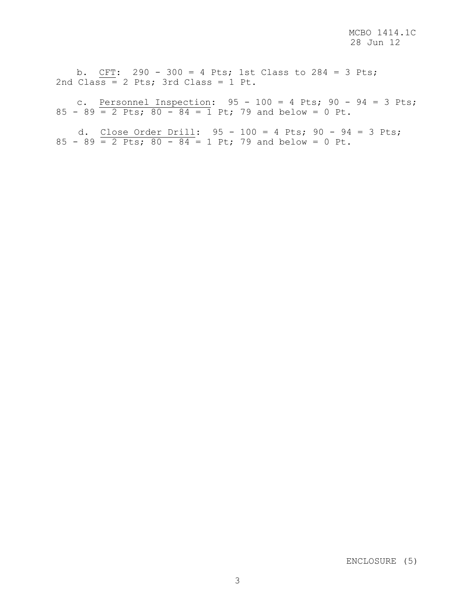b. CFT: 290 - 300 = 4 Pts; 1st Class to 284 = 3 Pts; 2nd Class = 2 Pts; 3rd Class = 1 Pt.

c. Personnel Inspection:  $95 - 100 = 4$  Pts;  $90 - 94 = 3$  Pts;  $85 - 89 = 2$  Pts;  $80 - 84 = 1$  Pt; 79 and below = 0 Pt.

 d. Close Order Drill: 95 - 100 = 4 Pts; 90 - 94 = 3 Pts; 85 - 89  $\overline{2}$  Pts; 80 - 84 = 1 Pt; 79 and below = 0 Pt.

ENCLOSURE (5)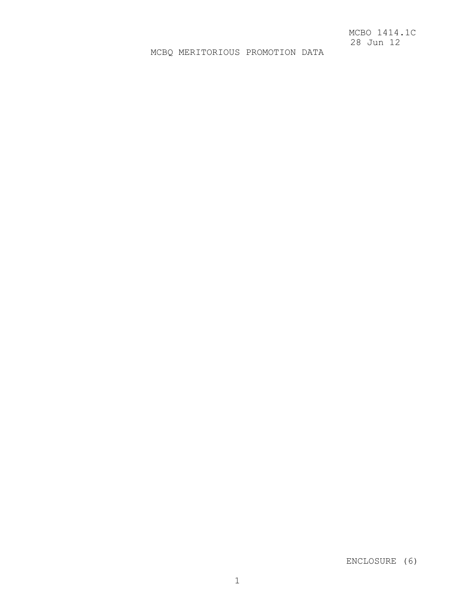# MCBQ MERITORIOUS PROMOTION DATA

ENCLOSURE (6)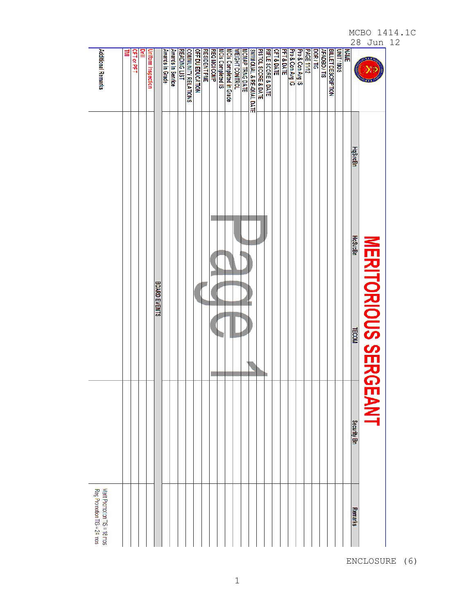| Additional Remarks                                         | <b>CFT or PFT</b> | ≅ | Uniform Inspection |                     | Awards in Grade | Awards In Service | READING LIST | <b>COMMUNITY RELATIONS</b> | OFF DU EDUCATION | <b>RESIDENT PME</b> | <b>REQ MCI COMP</b> | MCIs Completed IS | <b>MCIs Completed in Grade</b> | <b>WEIGHT CONTROL</b> | MIIM QUAL & RE-QUAL DATE<br>SMIIM QUAL & RE-QUAL DATE | PISTOL SCORE & DATE | <b>RIFLE SCORE &amp; DATE</b> | <b>CFT&amp;DATE</b> | <b>PFT&amp;DATE</b> | Pro & Con Avg IG | Pro & Con Avg IS | <b>PAGE 11/12</b> | DOR/TIG | AFADBD/TIS | <b>BILLET DESCRIPTION</b> | <b>UNIT/MOS</b> | <b>NAME</b> |                |                      |
|------------------------------------------------------------|-------------------|---|--------------------|---------------------|-----------------|-------------------|--------------|----------------------------|------------------|---------------------|---------------------|-------------------|--------------------------------|-----------------------|-------------------------------------------------------|---------------------|-------------------------------|---------------------|---------------------|------------------|------------------|-------------------|---------|------------|---------------------------|-----------------|-------------|----------------|----------------------|
|                                                            |                   |   |                    |                     |                 |                   |              |                            |                  |                     |                     |                   |                                |                       |                                                       |                     |                               |                     |                     |                  |                  |                   |         |            |                           |                 |             | <b>HqSvcBn</b> |                      |
|                                                            |                   |   |                    | <b>BOARD EVENTS</b> |                 |                   |              |                            |                  |                     |                     |                   |                                |                       |                                                       |                     |                               |                     |                     |                  |                  |                   |         |            |                           |                 |             | <b>HqSvcBn</b> | MERITORIOUS SERGEANT |
|                                                            |                   |   |                    |                     |                 |                   |              |                            |                  |                     |                     |                   |                                |                       |                                                       |                     |                               |                     |                     |                  |                  |                   |         |            |                           |                 |             | <b>TECOM</b>   |                      |
|                                                            |                   |   |                    |                     |                 |                   |              |                            |                  |                     |                     |                   |                                |                       |                                                       |                     |                               |                     |                     |                  |                  |                   |         |            |                           |                 |             | Security Bn    |                      |
| Reg Promotion TIS = 24 mos<br>Merit Promotion TIS = 18 mos |                   |   |                    |                     |                 |                   |              |                            |                  |                     |                     |                   |                                |                       |                                                       |                     |                               |                     |                     |                  |                  |                   |         |            |                           |                 |             | <b>Remarks</b> |                      |

ENCLOSURE (6)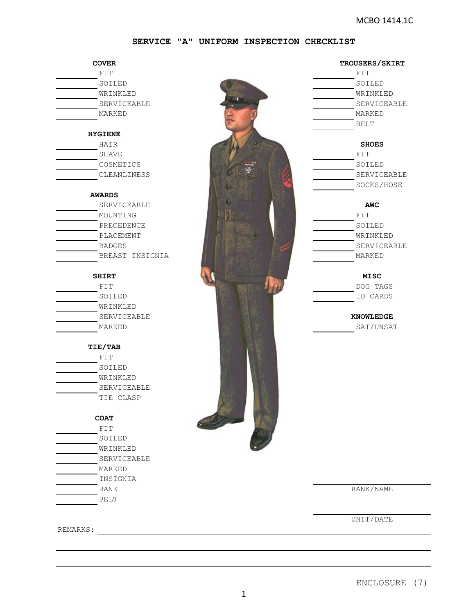### **SERVICE "A" UNIFORM INSPECTION CHECKLIST**

| <b>COVER</b>    |
|-----------------|
| FIT             |
| SOILED          |
| WRINKLED        |
| SERVICEABLE     |
| MARKED          |
|                 |
| <b>HYGIENE</b>  |
| HAIR            |
| <b>SHAVE</b>    |
| COSMETICS       |
| CLEANLINESS     |
| <b>AWARDS</b>   |
| SERVICEABLE     |
| MOUNTING        |
| PRECEDENCE      |
| PLACEMENT       |
| <b>BADGES</b>   |
| BREAST INSIGNIA |
|                 |
| <b>SHIRT</b>    |
| FIT             |
| SOILED          |
| WRINKLED        |
| SERVICEABLE     |
| MARKED          |
| <b>TIE/TAB</b>  |
| FIT             |
| SOILED          |
| WRINKLED        |
| SERVICEABLE     |
| TIE CLASP       |
| <b>COAT</b>     |
| FIT             |
| SOILED          |
| WRINKLED        |
| SERVICEABLE     |
| MARKED          |
|                 |
| INSIGNIA        |
| RANK            |
| BELT            |
|                 |



# WRINKLED SERVICEABLE MARKED BELT SERVICEABLE SOCKS/HOSE SOILED WRINKLED SERVICEABLE MARKED DOG TAGS ID CARDS SAT/UNSAT **COVER TROUSERS/SKIRT SHOES AWC KNOWLEDGE**

RANK/NAME

UNIT/DATE

REMARKS: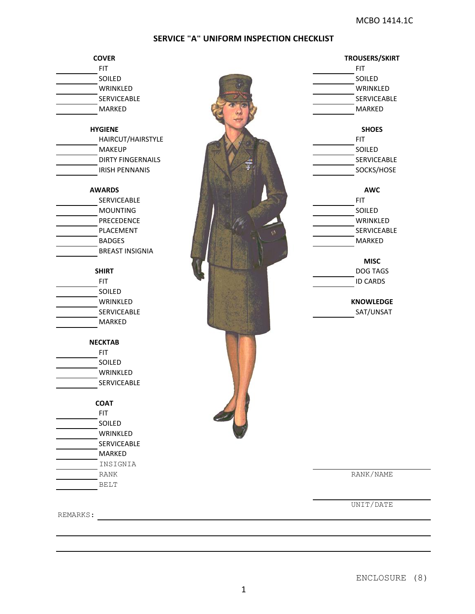# **SERVICE "A" UNIFORM INSPECTION CHECKLIST**

| <b>COVER</b>             | <b>TROUSERS/SKIRT</b> |
|--------------------------|-----------------------|
| <b>FIT</b>               | <b>FIT</b><br>SOILED  |
| SOILED                   |                       |
| WRINKLED                 | WRINKLED              |
| SERVICEABLE              | <b>SERVICEABLE</b>    |
| MARKED                   | MARKED                |
| <b>HYGIENE</b>           | <b>SHOES</b>          |
| HAIRCUT/HAIRSTYLE        | <b>FIT</b>            |
| <b>MAKEUP</b>            | SOILED                |
| <b>DIRTY FINGERNAILS</b> | <b>SERVICEABLE</b>    |
| <b>IRISH PENNANIS</b>    | SOCKS/HOSE            |
| <b>AWARDS</b>            | <b>AWC</b>            |
| SERVICEABLE              | <b>FIT</b>            |
| <b>MOUNTING</b>          | SOILED                |
| PRECEDENCE               | WRINKLED              |
| PLACEMENT                | SERVICEABLE           |
| <b>BADGES</b>            | W<br>MARKED           |
| <b>BREAST INSIGNIA</b>   |                       |
|                          | <b>MISC</b>           |
| <b>SHIRT</b>             | DOG TAGS              |
| <b>FIT</b>               | <b>ID CARDS</b>       |
| SOILED                   |                       |
| WRINKLED                 | <b>KNOWLEDGE</b>      |
| SERVICEABLE              | SAT/UNSAT             |
| MARKED                   |                       |
| <b>NECKTAB</b>           |                       |
| <b>FIT</b>               |                       |
| SOILED                   |                       |
|                          |                       |
| WRINKLED                 |                       |
| SERVICEABLE              |                       |
| <b>COAT</b>              |                       |
| <b>FIT</b>               |                       |
| SOILED                   |                       |
| WRINKLED                 |                       |
| <b>SERVICEABLE</b>       |                       |
| MARKED                   |                       |
| INSIGNIA                 |                       |
| <b>RANK</b>              | RANK/NAME             |
| <b>BELT</b>              |                       |
|                          | UNIT/DATE             |
| REMARKS:                 |                       |

ENCLOSURE (8)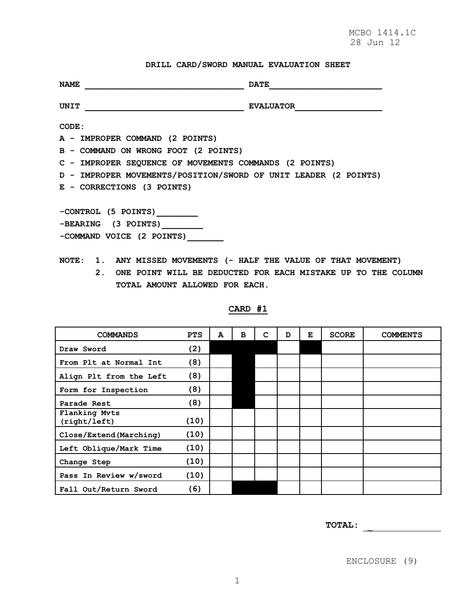# **DRILL CARD/SWORD MANUAL EVALUATION SHEET**

| <b>NAME</b>                                                     | <b>DATE</b>      |
|-----------------------------------------------------------------|------------------|
| <b>UNIT</b>                                                     | <b>EVALUATOR</b> |
| CODE:                                                           |                  |
| A - IMPROPER COMMAND (2 POINTS)                                 |                  |
| B - COMMAND ON WRONG FOOT (2 POINTS)                            |                  |
| C - IMPROPER SEQUENCE OF MOVEMENTS COMMANDS (2 POINTS)          |                  |
| D - IMPROPER MOVEMENTS/POSITION/SWORD OF UNIT LEADER (2 POINTS) |                  |
| E - CORRECTIONS (3 POINTS)                                      |                  |
|                                                                 |                  |
| -CONTROL (5 POINTS)                                             |                  |
| -BEARING (3 POINTS)                                             |                  |
| -COMMAND VOICE (2 POINTS)                                       |                  |
|                                                                 |                  |

- **NOTE: 1. ANY MISSED MOVEMENTS (- HALF THE VALUE OF THAT MOVEMENT)** 
	- **2. ONE POINT WILL BE DEDUCTED FOR EACH MISTAKE UP TO THE COLUMN TOTAL AMOUNT ALLOWED FOR EACH.**

| <b>COMMANDS</b>               | <b>PTS</b> | А | в | c | D | Е | <b>SCORE</b> | <b>COMMENTS</b> |
|-------------------------------|------------|---|---|---|---|---|--------------|-----------------|
| Draw Sword                    | (2)        |   |   |   |   |   |              |                 |
| From Plt at Normal Int        | (8)        |   |   |   |   |   |              |                 |
| Align Plt from the Left       | (8)        |   |   |   |   |   |              |                 |
| Form for Inspection           | (8)        |   |   |   |   |   |              |                 |
| Parade Rest                   | (8)        |   |   |   |   |   |              |                 |
| Flanking Myts<br>(right/left) | (10)       |   |   |   |   |   |              |                 |
| Close/Extend (Marching)       | (10)       |   |   |   |   |   |              |                 |
| Left Oblique/Mark Time        | (10)       |   |   |   |   |   |              |                 |
| Change Step                   | (10)       |   |   |   |   |   |              |                 |
| Pass In Review w/sword        | (10)       |   |   |   |   |   |              |                 |
| Fall Out/Return Sword         | (6)        |   |   |   |   |   |              |                 |

### **CARD #1**

**TOTAL:**

ENCLOSURE (9)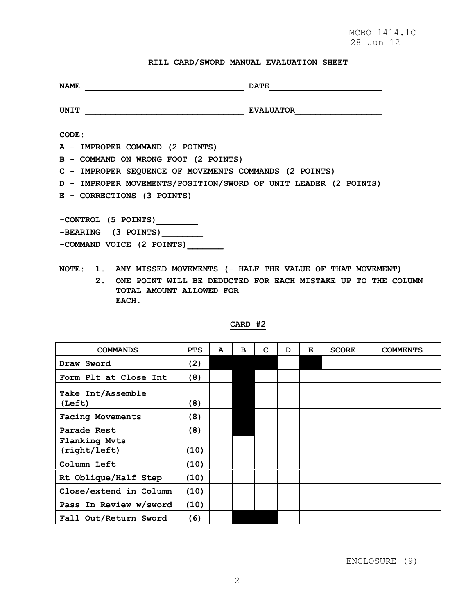# **RILL CARD/SWORD MANUAL EVALUATION SHEET**

| <b>NAME</b>                                                       | <b>DATE</b>                                                  |  |  |  |  |  |  |  |  |  |
|-------------------------------------------------------------------|--------------------------------------------------------------|--|--|--|--|--|--|--|--|--|
| UNIT                                                              | <b>EVALUATOR</b>                                             |  |  |  |  |  |  |  |  |  |
| CODE:                                                             |                                                              |  |  |  |  |  |  |  |  |  |
| A - IMPROPER COMMAND (2 POINTS)                                   |                                                              |  |  |  |  |  |  |  |  |  |
| B - COMMAND ON WRONG FOOT (2 POINTS)                              |                                                              |  |  |  |  |  |  |  |  |  |
| C - IMPROPER SEQUENCE OF MOVEMENTS COMMANDS (2 POINTS)            |                                                              |  |  |  |  |  |  |  |  |  |
| D - IMPROPER MOVEMENTS/POSITION/SWORD OF UNIT LEADER (2 POINTS)   |                                                              |  |  |  |  |  |  |  |  |  |
| E - CORRECTIONS (3 POINTS)                                        |                                                              |  |  |  |  |  |  |  |  |  |
|                                                                   |                                                              |  |  |  |  |  |  |  |  |  |
| -CONTROL (5 POINTS)                                               |                                                              |  |  |  |  |  |  |  |  |  |
| -BEARING (3 POINTS)                                               |                                                              |  |  |  |  |  |  |  |  |  |
| -COMMAND VOICE (2 POINTS)                                         |                                                              |  |  |  |  |  |  |  |  |  |
|                                                                   |                                                              |  |  |  |  |  |  |  |  |  |
| NOTE: 1. ANY MISSED MOVEMENTS (- HALF THE VALUE OF THAT MOVEMENT) |                                                              |  |  |  |  |  |  |  |  |  |
| 2 <sub>1</sub>                                                    | ONE POINT WILL BE DEDUCTED FOR EACH MISTAKE UP TO THE COLUMN |  |  |  |  |  |  |  |  |  |
| TOTAL AMOUNT ALLOWED FOR                                          |                                                              |  |  |  |  |  |  |  |  |  |

 **EACH.**

| <b>COMMANDS</b>               | <b>PTS</b> | A | в | c | D | Е | <b>SCORE</b> | <b>COMMENTS</b> |
|-------------------------------|------------|---|---|---|---|---|--------------|-----------------|
| Draw Sword                    | (2)        |   |   |   |   |   |              |                 |
| Form Plt at Close Int         | (8)        |   |   |   |   |   |              |                 |
| Take Int/Assemble<br>(Left)   | (8)        |   |   |   |   |   |              |                 |
| <b>Facing Movements</b>       | (8)        |   |   |   |   |   |              |                 |
| Parade Rest                   | (8)        |   |   |   |   |   |              |                 |
| Flanking Mvts<br>(right/left) | (10)       |   |   |   |   |   |              |                 |
| Column Left                   | (10)       |   |   |   |   |   |              |                 |
| Rt Oblique/Half Step          | (10)       |   |   |   |   |   |              |                 |
| Close/extend in Column        | (10)       |   |   |   |   |   |              |                 |
| Pass In Review w/sword        | (10)       |   |   |   |   |   |              |                 |
| Fall Out/Return Sword         | (6)        |   |   |   |   |   |              |                 |

# **CARD #2**

ENCLOSURE (9)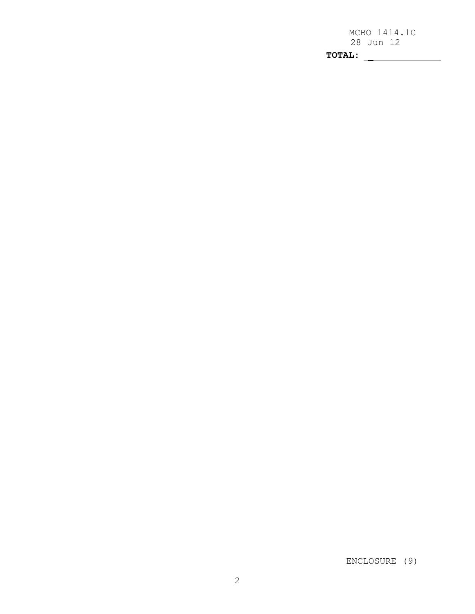MCBO 1414.1C 28 Jun 12 **TOTAL:**

ENCLOSURE (9)

2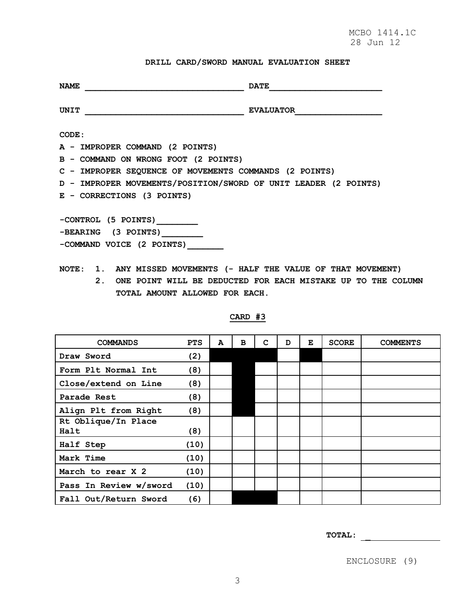# **DRILL CARD/SWORD MANUAL EVALUATION SHEET**

| <b>NAME</b>                                                       | <b>DATE</b>      |  |  |  |  |  |  |  |
|-------------------------------------------------------------------|------------------|--|--|--|--|--|--|--|
| UNIT                                                              | <b>EVALUATOR</b> |  |  |  |  |  |  |  |
| CODE:                                                             |                  |  |  |  |  |  |  |  |
| A - IMPROPER COMMAND (2 POINTS)                                   |                  |  |  |  |  |  |  |  |
| B - COMMAND ON WRONG FOOT (2 POINTS)                              |                  |  |  |  |  |  |  |  |
| C - IMPROPER SEQUENCE OF MOVEMENTS COMMANDS (2 POINTS)            |                  |  |  |  |  |  |  |  |
| D - IMPROPER MOVEMENTS/POSITION/SWORD OF UNIT LEADER (2 POINTS)   |                  |  |  |  |  |  |  |  |
| E - CORRECTIONS (3 POINTS)                                        |                  |  |  |  |  |  |  |  |
|                                                                   |                  |  |  |  |  |  |  |  |
| -CONTROL (5 POINTS)                                               |                  |  |  |  |  |  |  |  |
| -BEARING (3 POINTS)                                               |                  |  |  |  |  |  |  |  |
| -COMMAND VOICE (2 POINTS)                                         |                  |  |  |  |  |  |  |  |
| NOTE: 1. ANY MISSED MOVEMENTS (- HALF THE VALUE OF THAT MOVEMENT) |                  |  |  |  |  |  |  |  |

 **2. ONE POINT WILL BE DEDUCTED FOR EACH MISTAKE UP TO THE COLUMN TOTAL AMOUNT ALLOWED FOR EACH.**

| <b>COMMANDS</b>             | <b>PTS</b> | A | в | C | D | Е | <b>SCORE</b> | <b>COMMENTS</b> |
|-----------------------------|------------|---|---|---|---|---|--------------|-----------------|
| Draw Sword                  | (2)        |   |   |   |   |   |              |                 |
| Form Plt Normal Int         | (8)        |   |   |   |   |   |              |                 |
| Close/extend on Line        | (8)        |   |   |   |   |   |              |                 |
| Parade Rest                 | (8)        |   |   |   |   |   |              |                 |
| Align Plt from Right        | (8)        |   |   |   |   |   |              |                 |
| Rt Oblique/In Place<br>Halt | (8)        |   |   |   |   |   |              |                 |
| Half Step                   | (10)       |   |   |   |   |   |              |                 |
| Mark Time                   | (10)       |   |   |   |   |   |              |                 |
| March to rear X 2           | (10)       |   |   |   |   |   |              |                 |
| Pass In Review w/sword      | (10)       |   |   |   |   |   |              |                 |
| Fall Out/Return Sword       | (6)        |   |   |   |   |   |              |                 |

# **CARD #3**

**TOTAL:**

ENCLOSURE (9)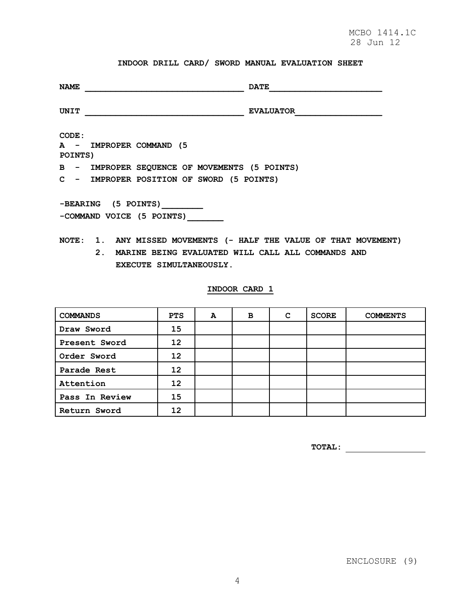# **INDOOR DRILL CARD/ SWORD MANUAL EVALUATION SHEET**

| <b>NAME</b>                                                                                                                                          | <b>DATE</b>      |
|------------------------------------------------------------------------------------------------------------------------------------------------------|------------------|
| UNIT                                                                                                                                                 | <b>EVALUATOR</b> |
| CODE:<br>A - IMPROPER COMMAND (5<br>POINTS)                                                                                                          |                  |
| B - IMPROPER SEQUENCE OF MOVEMENTS (5 POINTS)                                                                                                        |                  |
| C - IMPROPER POSITION OF SWORD (5 POINTS)                                                                                                            |                  |
| -BEARING (5 POINTS)<br>-COMMAND VOICE (5 POINTS)                                                                                                     |                  |
| NOTE: 1. ANY MISSED MOVEMENTS (- HALF THE VALUE OF THAT MOVEMENT)<br>2. MARINE BEING EVALUATED WILL CALL ALL COMMANDS AND<br>EXECUTE SIMULTANEOUSLY. |                  |
| INDOOR CARD 1                                                                                                                                        |                  |
|                                                                                                                                                      |                  |

| <b>COMMANDS</b> | <b>PTS</b> | $\mathbf{A}$ | в | C | <b>SCORE</b> | <b>COMMENTS</b> |
|-----------------|------------|--------------|---|---|--------------|-----------------|
| Draw Sword      | 15         |              |   |   |              |                 |
| Present Sword   | 12         |              |   |   |              |                 |
| Order Sword     | 12         |              |   |   |              |                 |
| Parade Rest     | 12         |              |   |   |              |                 |
| Attention       | 12         |              |   |   |              |                 |
| Pass In Review  | 15         |              |   |   |              |                 |
| Return Sword    | 12         |              |   |   |              |                 |

**TOTAL:**

ENCLOSURE (9)